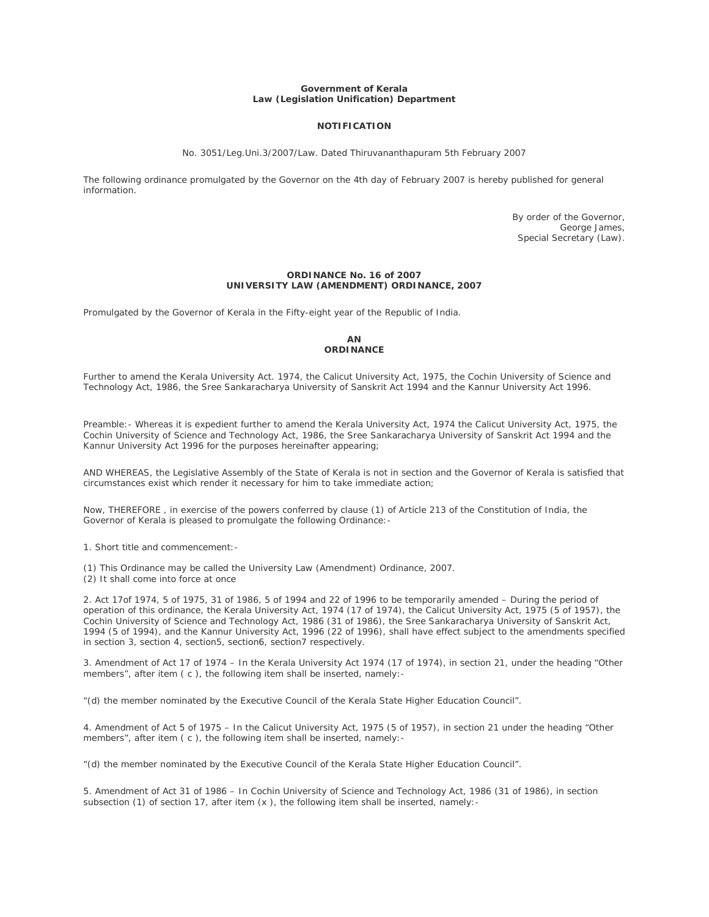### **Government of Kerala Law (Legislation Unification) Department**

# **NOTIFICATION**

No. 3051/Leg.Uni.3/2007/Law. Dated Thiruvananthapuram 5th February 2007

The following ordinance promulgated by the Governor on the 4th day of February 2007 is hereby published for general information.

> By order of the Governor, George James, Special Secretary (Law).

#### **ORDINANCE No. 16 of 2007 UNIVERSITY LAW (AMENDMENT) ORDINANCE, 2007**

Promulgated by the Governor of Kerala in the Fifty-eight year of the Republic of India.

### **AN ORDINANCE**

Further to amend the Kerala University Act. 1974, the Calicut University Act, 1975, the Cochin University of Science and Technology Act, 1986, the Sree Sankaracharya University of Sanskrit Act 1994 and the Kannur University Act 1996.

Preamble:- Whereas it is expedient further to amend the Kerala University Act, 1974 the Calicut University Act, 1975, the Cochin University of Science and Technology Act, 1986, the Sree Sankaracharya University of Sanskrit Act 1994 and the Kannur University Act 1996 for the purposes hereinafter appearing;

AND WHEREAS, the Legislative Assembly of the State of Kerala is not in section and the Governor of Kerala is satisfied that circumstances exist which render it necessary for him to take immediate action;

Now, THEREFORE , in exercise of the powers conferred by clause (1) of Article 213 of the Constitution of India, the Governor of Kerala is pleased to promulgate the following Ordinance:-

1. Short title and commencement:-

(1) This Ordinance may be called the University Law (Amendment) Ordinance, 2007.

(2) It shall come into force at once

2. Act 17of 1974, 5 of 1975, 31 of 1986, 5 of 1994 and 22 of 1996 to be temporarily amended – During the period of operation of this ordinance, the Kerala University Act, 1974 (17 of 1974), the Calicut University Act, 1975 (5 of 1957), the Cochin University of Science and Technology Act, 1986 (31 of 1986), the Sree Sankaracharya University of Sanskrit Act, 1994 (5 of 1994), and the Kannur University Act, 1996 (22 of 1996), shall have effect subject to the amendments specified in section 3, section 4, section5, section6, section7 respectively.

3. Amendment of Act 17 of 1974 – In the Kerala University Act 1974 (17 of 1974), in section 21, under the heading "Other members", after item (c), the following item shall be inserted, namely:-

"(d) the member nominated by the Executive Council of the Kerala State Higher Education Council".

4. Amendment of Act 5 of 1975 – In the Calicut University Act, 1975 (5 of 1957), in section 21 under the heading "Other members", after item ( c ), the following item shall be inserted, namely:-

"(d) the member nominated by the Executive Council of the Kerala State Higher Education Council".

5. Amendment of Act 31 of 1986 – In Cochin University of Science and Technology Act, 1986 (31 of 1986), in section subsection (1) of section 17, after item (x ), the following item shall be inserted, namely: -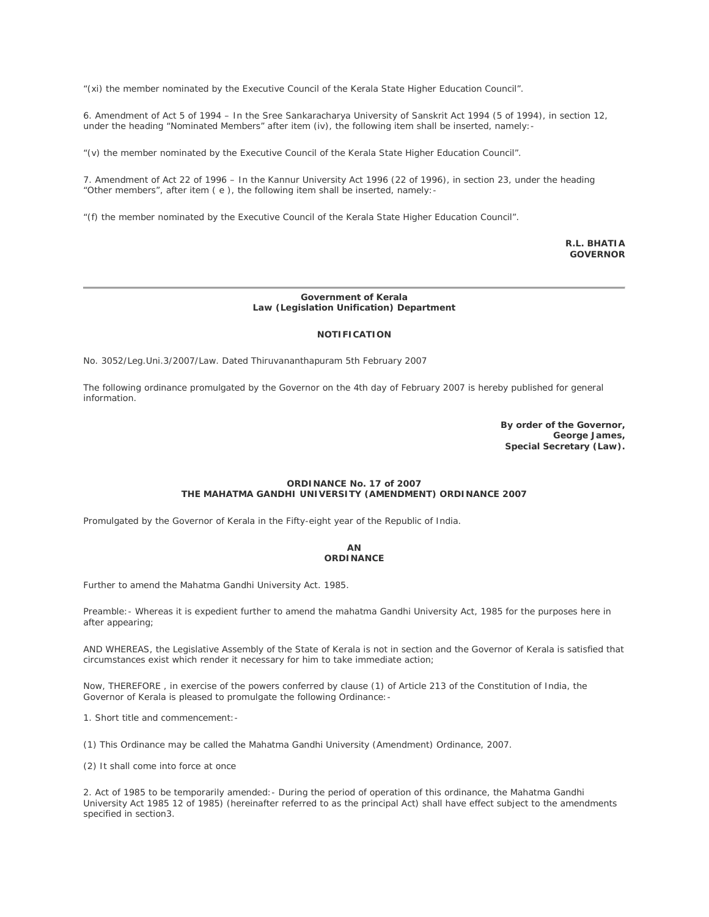"(xi) the member nominated by the Executive Council of the Kerala State Higher Education Council".

6. Amendment of Act 5 of 1994 – In the Sree Sankaracharya University of Sanskrit Act 1994 (5 of 1994), in section 12, under the heading "Nominated Members" after item (iv), the following item shall be inserted, namely:-

"(v) the member nominated by the Executive Council of the Kerala State Higher Education Council".

7. Amendment of Act 22 of 1996 – In the Kannur University Act 1996 (22 of 1996), in section 23, under the heading "Other members", after item ( e ), the following item shall be inserted, namely:-

"(f) the member nominated by the Executive Council of the Kerala State Higher Education Council".

**R.L. BHATIA GOVERNOR**

## **Government of Kerala Law (Legislation Unification) Department**

### **NOTIFICATION**

No. 3052/Leg.Uni.3/2007/Law. Dated Thiruvananthapuram 5th February 2007

The following ordinance promulgated by the Governor on the 4th day of February 2007 is hereby published for general information.

> **By order of the Governor, George James, Special Secretary (Law).**

# **ORDINANCE No. 17 of 2007 THE MAHATMA GANDHI UNIVERSITY (AMENDMENT) ORDINANCE 2007**

Promulgated by the Governor of Kerala in the Fifty-eight year of the Republic of India.

# **AN ORDINANCE**

Further to amend the Mahatma Gandhi University Act. 1985.

Preamble:- Whereas it is expedient further to amend the mahatma Gandhi University Act, 1985 for the purposes here in after appearing;

AND WHEREAS, the Legislative Assembly of the State of Kerala is not in section and the Governor of Kerala is satisfied that circumstances exist which render it necessary for him to take immediate action;

Now, THEREFORE , in exercise of the powers conferred by clause (1) of Article 213 of the Constitution of India, the Governor of Kerala is pleased to promulgate the following Ordinance:-

1. Short title and commencement:-

(1) This Ordinance may be called the Mahatma Gandhi University (Amendment) Ordinance, 2007.

(2) It shall come into force at once

2. Act of 1985 to be temporarily amended:- During the period of operation of this ordinance, the Mahatma Gandhi University Act 1985 12 of 1985) (hereinafter referred to as the principal Act) shall have effect subject to the amendments specified in section3.